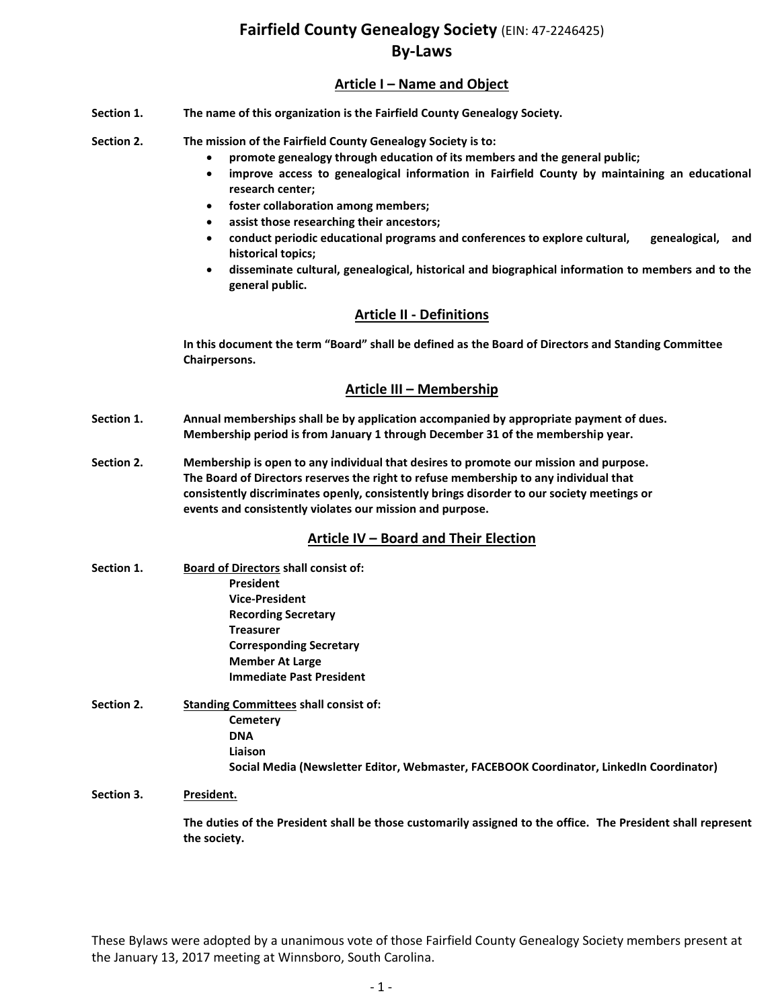# **Article I – Name and Object**

- **Section 1. The name of this organization is the Fairfield County Genealogy Society.**
- **Section 2. The mission of the Fairfield County Genealogy Society is to:**
	- **promote genealogy through education of its members and the general public;**
	- **improve access to genealogical information in Fairfield County by maintaining an educational research center;**
	- **foster collaboration among members;**
	- **assist those researching their ancestors;**
	- **conduct periodic educational programs and conferences to explore cultural, genealogical, and historical topics;**
	- **disseminate cultural, genealogical, historical and biographical information to members and to the general public.**

# **Article II - Definitions**

**In this document the term "Board" shall be defined as the Board of Directors and Standing Committee Chairpersons.**

# **Article III – Membership**

- **Section 1. Annual memberships shall be by application accompanied by appropriate payment of dues. Membership period is from January 1 through December 31 of the membership year.**
- **Section 2. Membership is open to any individual that desires to promote our mission and purpose. The Board of Directors reserves the right to refuse membership to any individual that consistently discriminates openly, consistently brings disorder to our society meetings or events and consistently violates our mission and purpose.**

# **Article IV – Board and Their Election**

- **Section 1. Board of Directors shall consist of: President Vice-President Recording Secretary Treasurer Corresponding Secretary Member At Large Immediate Past President**
- **Section 2. Standing Committees shall consist of: Cemetery DNA Liaison Social Media (Newsletter Editor, Webmaster, FACEBOOK Coordinator, LinkedIn Coordinator)**

**Section 3. President.**

**The duties of the President shall be those customarily assigned to the office. The President shall represent the society.**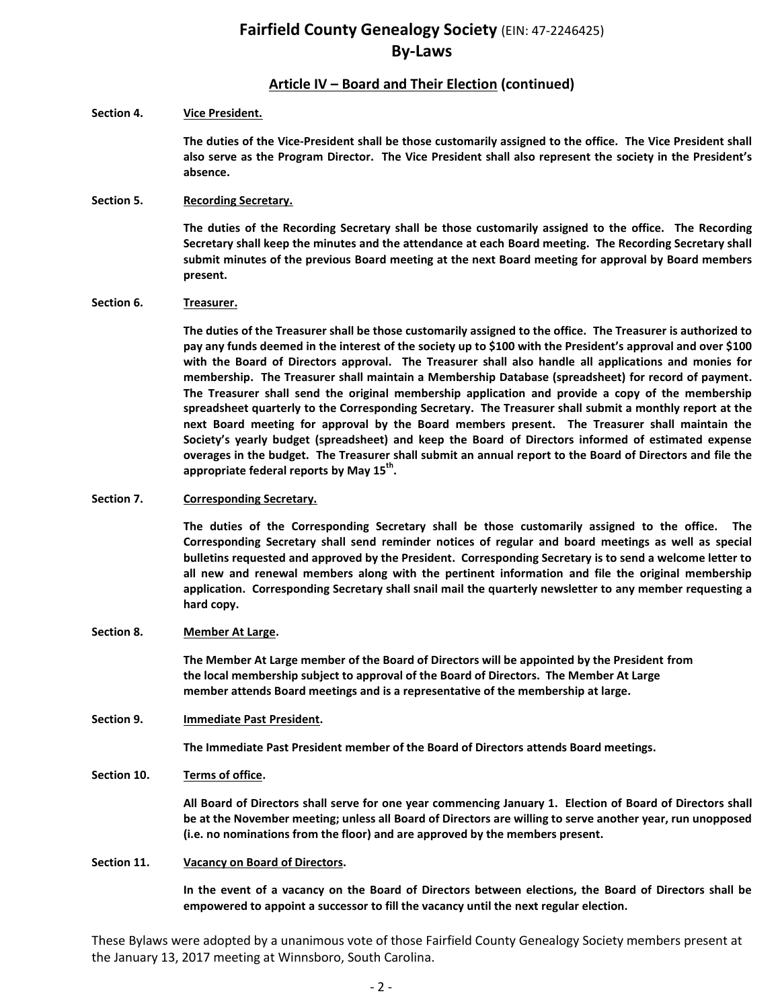# **Article IV – Board and Their Election (continued)**

### **Section 4. Vice President.**

**The duties of the Vice-President shall be those customarily assigned to the office. The Vice President shall also serve as the Program Director. The Vice President shall also represent the society in the President's absence.**

### **Section 5. Recording Secretary.**

**The duties of the Recording Secretary shall be those customarily assigned to the office. The Recording Secretary shall keep the minutes and the attendance at each Board meeting. The Recording Secretary shall submit minutes of the previous Board meeting at the next Board meeting for approval by Board members present.** 

### **Section 6. Treasurer.**

**The duties of the Treasurer shall be those customarily assigned to the office. The Treasurer is authorized to pay any funds deemed in the interest of the society up to \$100 with the President's approval and over \$100 with the Board of Directors approval. The Treasurer shall also handle all applications and monies for membership. The Treasurer shall maintain a Membership Database (spreadsheet) for record of payment. The Treasurer shall send the original membership application and provide a copy of the membership spreadsheet quarterly to the Corresponding Secretary. The Treasurer shall submit a monthly report at the next Board meeting for approval by the Board members present. The Treasurer shall maintain the Society's yearly budget (spreadsheet) and keep the Board of Directors informed of estimated expense overages in the budget. The Treasurer shall submit an annual report to the Board of Directors and file the appropriate federal reports by May 15th .** 

### **Section 7. Corresponding Secretary.**

**The duties of the Corresponding Secretary shall be those customarily assigned to the office. The Corresponding Secretary shall send reminder notices of regular and board meetings as well as special bulletins requested and approved by the President. Corresponding Secretary is to send a welcome letter to all new and renewal members along with the pertinent information and file the original membership application. Corresponding Secretary shall snail mail the quarterly newsletter to any member requesting a hard copy.**

#### **Section 8. Member At Large.**

**The Member At Large member of the Board of Directors will be appointed by the President from the local membership subject to approval of the Board of Directors. The Member At Large member attends Board meetings and is a representative of the membership at large.** 

## **Section 9. Immediate Past President.**

**The Immediate Past President member of the Board of Directors attends Board meetings.**

## **Section 10. Terms of office.**

**All Board of Directors shall serve for one year commencing January 1. Election of Board of Directors shall be at the November meeting; unless all Board of Directors are willing to serve another year, run unopposed (i.e. no nominations from the floor) and are approved by the members present.**

#### **Section 11. Vacancy on Board of Directors.**

**In the event of a vacancy on the Board of Directors between elections, the Board of Directors shall be empowered to appoint a successor to fill the vacancy until the next regular election.**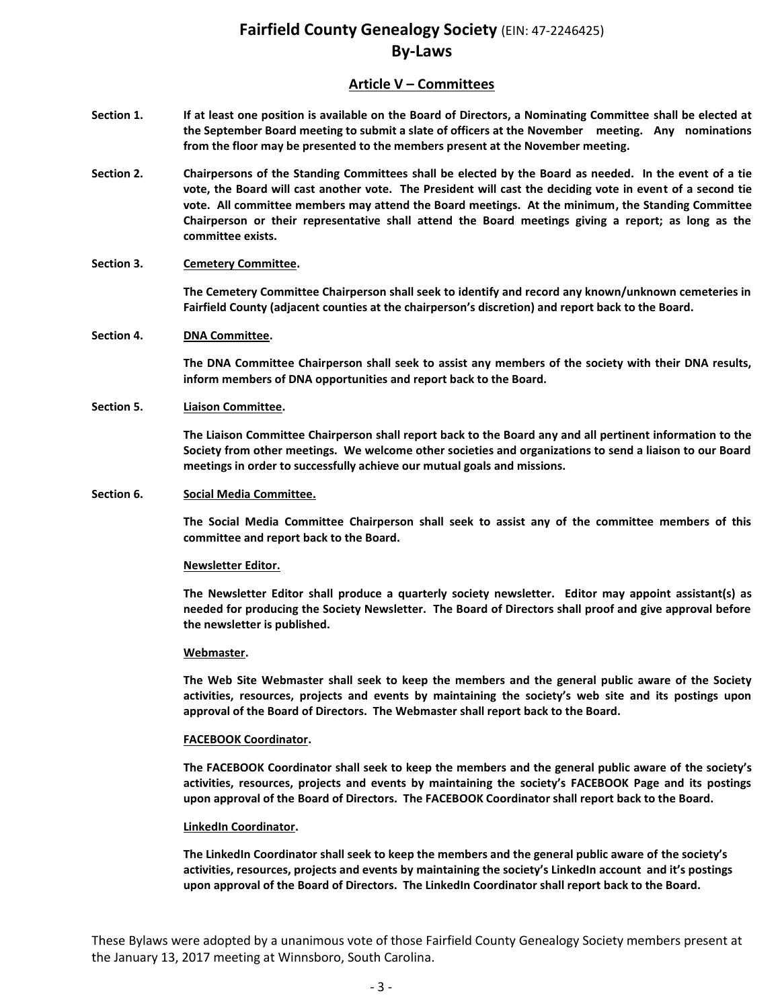# **Article V – Committees**

- **Section 1. If at least one position is available on the Board of Directors, a Nominating Committee shall be elected at the September Board meeting to submit a slate of officers at the November meeting. Any nominations from the floor may be presented to the members present at the November meeting.**
- **Section 2. Chairpersons of the Standing Committees shall be elected by the Board as needed. In the event of a tie vote, the Board will cast another vote. The President will cast the deciding vote in event of a second tie vote. All committee members may attend the Board meetings. At the minimum, the Standing Committee Chairperson or their representative shall attend the Board meetings giving a report; as long as the committee exists.**

### **Section 3. Cemetery Committee.**

**The Cemetery Committee Chairperson shall seek to identify and record any known/unknown cemeteries in Fairfield County (adjacent counties at the chairperson's discretion) and report back to the Board.**

#### **Section 4. DNA Committee.**

**The DNA Committee Chairperson shall seek to assist any members of the society with their DNA results, inform members of DNA opportunities and report back to the Board.** 

#### **Section 5. Liaison Committee.**

**The Liaison Committee Chairperson shall report back to the Board any and all pertinent information to the Society from other meetings. We welcome other societies and organizations to send a liaison to our Board meetings in order to successfully achieve our mutual goals and missions.**

#### **Section 6. Social Media Committee.**

**The Social Media Committee Chairperson shall seek to assist any of the committee members of this committee and report back to the Board.** 

#### **Newsletter Editor.**

**The Newsletter Editor shall produce a quarterly society newsletter. Editor may appoint assistant(s) as needed for producing the Society Newsletter. The Board of Directors shall proof and give approval before the newsletter is published.**

#### **Webmaster.**

**The Web Site Webmaster shall seek to keep the members and the general public aware of the Society activities, resources, projects and events by maintaining the society's web site and its postings upon approval of the Board of Directors. The Webmaster shall report back to the Board.** 

#### **FACEBOOK Coordinator.**

**The FACEBOOK Coordinator shall seek to keep the members and the general public aware of the society's activities, resources, projects and events by maintaining the society's FACEBOOK Page and its postings upon approval of the Board of Directors. The FACEBOOK Coordinator shall report back to the Board.** 

#### **LinkedIn Coordinator.**

**The LinkedIn Coordinator shall seek to keep the members and the general public aware of the society's activities, resources, projects and events by maintaining the society's LinkedIn account and it's postings upon approval of the Board of Directors. The LinkedIn Coordinator shall report back to the Board.**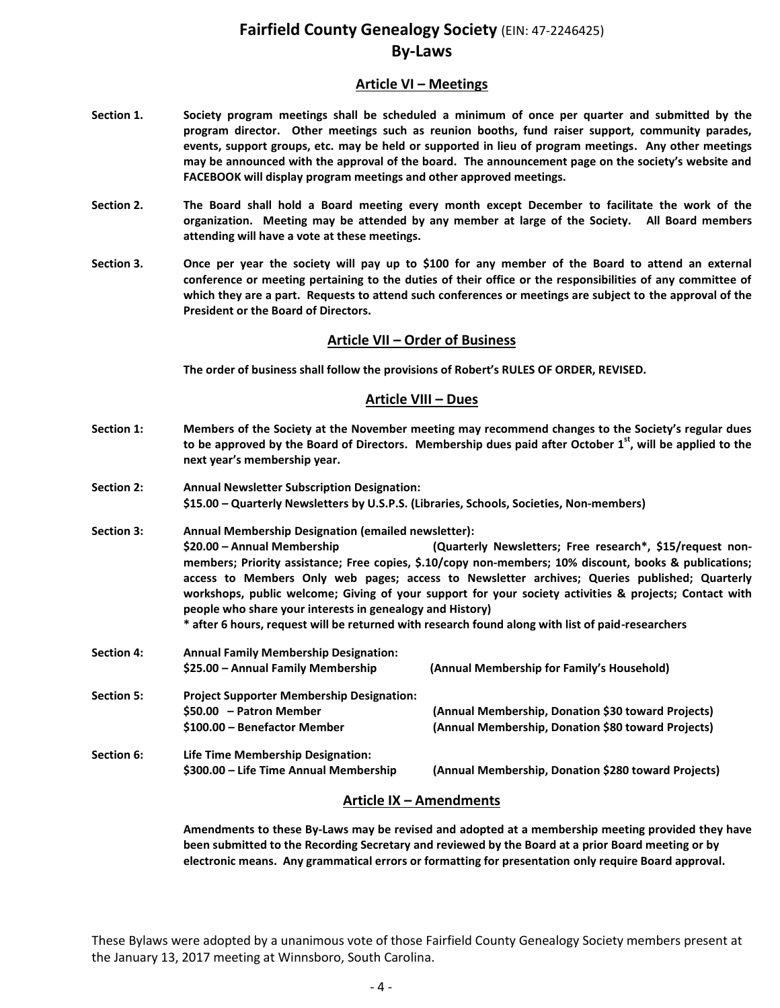## **Article VI – Meetings**

- **Section 1. Society program meetings shall be scheduled a minimum of once per quarter and submitted by the program director. Other meetings such as reunion booths, fund raiser support, community parades, events, support groups, etc. may be held or supported in lieu of program meetings. Any other meetings may be announced with the approval of the board. The announcement page on the society's website and FACEBOOK will display program meetings and other approved meetings.**
- **Section 2. The Board shall hold a Board meeting every month except December to facilitate the work of the organization. Meeting may be attended by any member at large of the Society. All Board members attending will have a vote at these meetings.**
- **Section 3. Once per year the society will pay up to \$100 for any member of the Board to attend an external conference or meeting pertaining to the duties of their office or the responsibilities of any committee of which they are a part. Requests to attend such conferences or meetings are subject to the approval of the President or the Board of Directors.**

## **Article VII – Order of Business**

**The order of business shall follow the provisions of Robert's RULES OF ORDER, REVISED.**

## **Article VIII – Dues**

- **Section 1: Members of the Society at the November meeting may recommend changes to the Society's regular dues to be approved by the Board of Directors. Membership dues paid after October 1 st , will be applied to the next year's membership year.**
- **Section 2: Annual Newsletter Subscription Designation: \$15.00 – Quarterly Newsletters by U.S.P.S. (Libraries, Schools, Societies, Non-members)**
- **Section 3: Annual Membership Designation (emailed newsletter): \$20.00 – Annual Membership (Quarterly Newsletters; Free research\*, \$15/request nonmembers; Priority assistance; Free copies, \$.10/copy non-members; 10% discount, books & publications; access to Members Only web pages; access to Newsletter archives; Queries published; Quarterly workshops, public welcome; Giving of your support for your society activities & projects; Contact with people who share your interests in genealogy and History) \* after 6 hours, request will be returned with research found along with list of paid-researchers**

**Section 4: Annual Family Membership Designation: \$25.00 – Annual Family Membership (Annual Membership for Family's Household) Section 5: Project Supporter Membership Designation: \$50.00 – Patron Member (Annual Membership, Donation \$30 toward Projects) \$100.00 – Benefactor Member (Annual Membership, Donation \$80 toward Projects) Section 6: Life Time Membership Designation:**

**\$300.00 – Life Time Annual Membership (Annual Membership, Donation \$280 toward Projects)**

## **Article IX – Amendments**

**Amendments to these By-Laws may be revised and adopted at a membership meeting provided they have been submitted to the Recording Secretary and reviewed by the Board at a prior Board meeting or by electronic means. Any grammatical errors or formatting for presentation only require Board approval.**